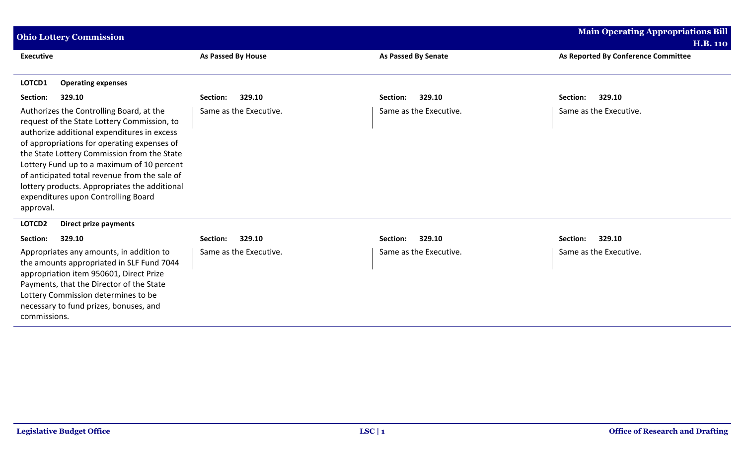| <b>Ohio Lottery Commission</b>                                                                                                                                                                                                                                                                                                                                                                                                           |                           |                            | <b>Main Operating Appropriations Bill</b> |
|------------------------------------------------------------------------------------------------------------------------------------------------------------------------------------------------------------------------------------------------------------------------------------------------------------------------------------------------------------------------------------------------------------------------------------------|---------------------------|----------------------------|-------------------------------------------|
|                                                                                                                                                                                                                                                                                                                                                                                                                                          |                           |                            | <b>H.B. 110</b>                           |
| <b>Executive</b>                                                                                                                                                                                                                                                                                                                                                                                                                         | <b>As Passed By House</b> | <b>As Passed By Senate</b> | As Reported By Conference Committee       |
| LOTCD1<br><b>Operating expenses</b>                                                                                                                                                                                                                                                                                                                                                                                                      |                           |                            |                                           |
| 329.10<br>Section:                                                                                                                                                                                                                                                                                                                                                                                                                       | 329.10<br>Section:        | 329.10<br>Section:         | 329.10<br>Section:                        |
| Authorizes the Controlling Board, at the<br>request of the State Lottery Commission, to<br>authorize additional expenditures in excess<br>of appropriations for operating expenses of<br>the State Lottery Commission from the State<br>Lottery Fund up to a maximum of 10 percent<br>of anticipated total revenue from the sale of<br>lottery products. Appropriates the additional<br>expenditures upon Controlling Board<br>approval. | Same as the Executive.    | Same as the Executive.     | Same as the Executive.                    |
| LOTCD <sub>2</sub><br><b>Direct prize payments</b>                                                                                                                                                                                                                                                                                                                                                                                       |                           |                            |                                           |
| 329.10<br>Section:                                                                                                                                                                                                                                                                                                                                                                                                                       | 329.10<br>Section:        | 329.10<br>Section:         | 329.10<br>Section:                        |
| Appropriates any amounts, in addition to<br>the amounts appropriated in SLF Fund 7044<br>appropriation item 950601, Direct Prize<br>Payments, that the Director of the State<br>Lottery Commission determines to be<br>necessary to fund prizes, bonuses, and<br>commissions.                                                                                                                                                            | Same as the Executive.    | Same as the Executive.     | Same as the Executive.                    |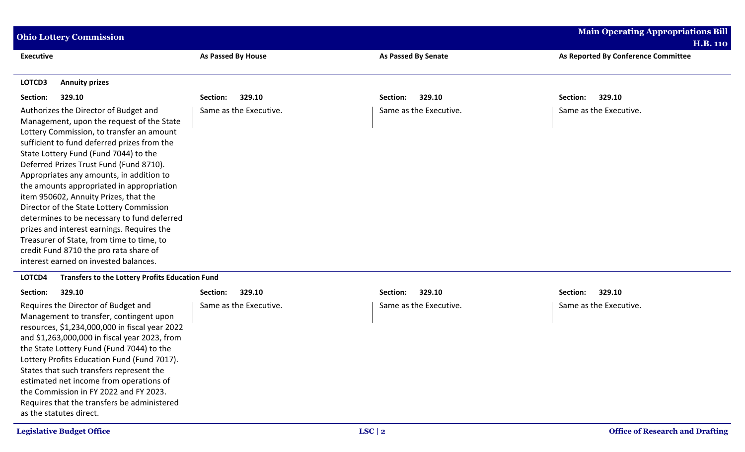| <b>Ohio Lottery Commission</b>                                                                                                                                                                                                                                                                                                                                                                                                                                                                                                                                                                                                                                                |                                              |                                              | <b>Main Operating Appropriations Bill</b>              |
|-------------------------------------------------------------------------------------------------------------------------------------------------------------------------------------------------------------------------------------------------------------------------------------------------------------------------------------------------------------------------------------------------------------------------------------------------------------------------------------------------------------------------------------------------------------------------------------------------------------------------------------------------------------------------------|----------------------------------------------|----------------------------------------------|--------------------------------------------------------|
| <b>Executive</b>                                                                                                                                                                                                                                                                                                                                                                                                                                                                                                                                                                                                                                                              | As Passed By House                           | <b>As Passed By Senate</b>                   | <b>H.B. 110</b><br>As Reported By Conference Committee |
| LOTCD3<br><b>Annuity prizes</b>                                                                                                                                                                                                                                                                                                                                                                                                                                                                                                                                                                                                                                               |                                              |                                              |                                                        |
| Section:<br>329.10                                                                                                                                                                                                                                                                                                                                                                                                                                                                                                                                                                                                                                                            | 329.10<br>Section:                           | 329.10<br>Section:                           | 329.10<br>Section:                                     |
| Authorizes the Director of Budget and<br>Management, upon the request of the State<br>Lottery Commission, to transfer an amount<br>sufficient to fund deferred prizes from the<br>State Lottery Fund (Fund 7044) to the<br>Deferred Prizes Trust Fund (Fund 8710).<br>Appropriates any amounts, in addition to<br>the amounts appropriated in appropriation<br>item 950602, Annuity Prizes, that the<br>Director of the State Lottery Commission<br>determines to be necessary to fund deferred<br>prizes and interest earnings. Requires the<br>Treasurer of State, from time to time, to<br>credit Fund 8710 the pro rata share of<br>interest earned on invested balances. | Same as the Executive.                       | Same as the Executive.                       | Same as the Executive.                                 |
| Transfers to the Lottery Profits Education Fund<br>LOTCD4                                                                                                                                                                                                                                                                                                                                                                                                                                                                                                                                                                                                                     |                                              |                                              |                                                        |
| Section:<br>329.10<br>Requires the Director of Budget and<br>Management to transfer, contingent upon<br>resources, \$1,234,000,000 in fiscal year 2022<br>and \$1,263,000,000 in fiscal year 2023, from<br>the State Lottery Fund (Fund 7044) to the<br>Lottery Profits Education Fund (Fund 7017).<br>States that such transfers represent the<br>estimated net income from operations of<br>the Commission in FY 2022 and FY 2023.<br>Requires that the transfers be administered<br>as the statutes direct.                                                                                                                                                                | 329.10<br>Section:<br>Same as the Executive. | 329.10<br>Section:<br>Same as the Executive. | Section:<br>329.10<br>Same as the Executive.           |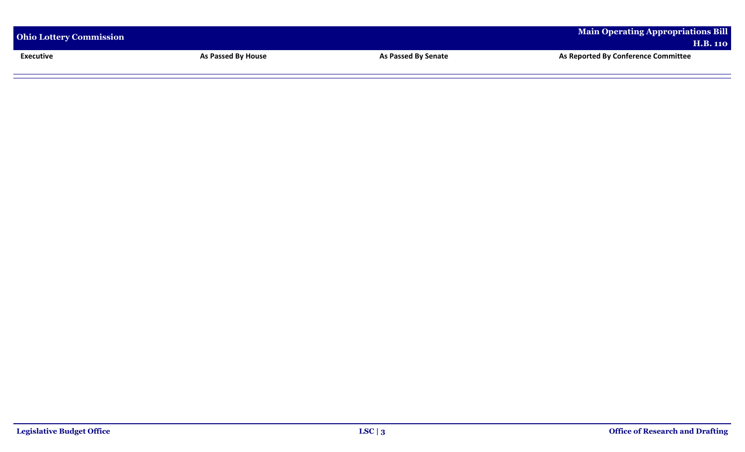| <b>Ohio Lottery Commission</b> |                    |                            | Main Operating Appropriations Bill  |
|--------------------------------|--------------------|----------------------------|-------------------------------------|
|                                |                    |                            | <b>H.B. 110</b>                     |
| <b>Executive</b>               | As Passed By House | <b>As Passed By Senate</b> | As Reported By Conference Committee |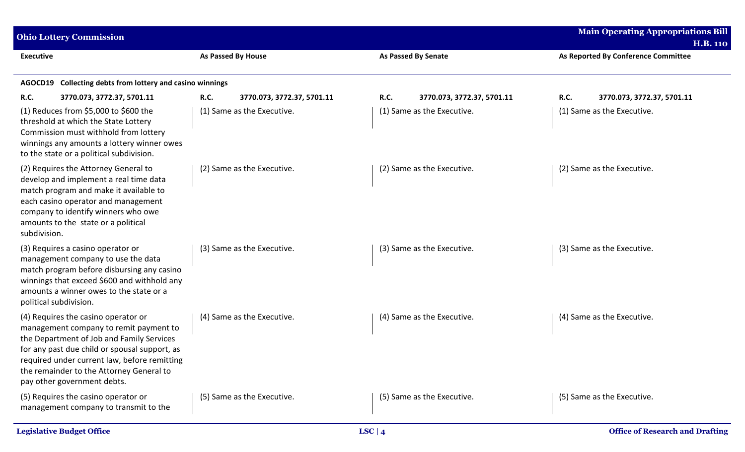| <b>Ohio Lottery Commission</b>                                                                                                                                                                                                                                                                         |                                    |                                    | <b>Main Operating Appropriations Bill</b><br><b>H.B. 110</b> |
|--------------------------------------------------------------------------------------------------------------------------------------------------------------------------------------------------------------------------------------------------------------------------------------------------------|------------------------------------|------------------------------------|--------------------------------------------------------------|
| <b>Executive</b>                                                                                                                                                                                                                                                                                       | <b>As Passed By House</b>          | <b>As Passed By Senate</b>         | As Reported By Conference Committee                          |
| Collecting debts from lottery and casino winnings<br>AGOCD19                                                                                                                                                                                                                                           |                                    |                                    |                                                              |
| R.C.<br>3770.073, 3772.37, 5701.11                                                                                                                                                                                                                                                                     | R.C.<br>3770.073, 3772.37, 5701.11 | R.C.<br>3770.073, 3772.37, 5701.11 | R.C.<br>3770.073, 3772.37, 5701.11                           |
| (1) Reduces from \$5,000 to \$600 the<br>threshold at which the State Lottery<br>Commission must withhold from lottery<br>winnings any amounts a lottery winner owes<br>to the state or a political subdivision.                                                                                       | (1) Same as the Executive.         | (1) Same as the Executive.         | (1) Same as the Executive.                                   |
| (2) Requires the Attorney General to<br>develop and implement a real time data<br>match program and make it available to<br>each casino operator and management<br>company to identify winners who owe<br>amounts to the state or a political<br>subdivision.                                          | (2) Same as the Executive.         | (2) Same as the Executive.         | (2) Same as the Executive.                                   |
| (3) Requires a casino operator or<br>management company to use the data<br>match program before disbursing any casino<br>winnings that exceed \$600 and withhold any<br>amounts a winner owes to the state or a<br>political subdivision.                                                              | (3) Same as the Executive.         | (3) Same as the Executive.         | (3) Same as the Executive.                                   |
| (4) Requires the casino operator or<br>management company to remit payment to<br>the Department of Job and Family Services<br>for any past due child or spousal support, as<br>required under current law, before remitting<br>the remainder to the Attorney General to<br>pay other government debts. | (4) Same as the Executive.         | (4) Same as the Executive.         | (4) Same as the Executive.                                   |
| (5) Requires the casino operator or<br>management company to transmit to the                                                                                                                                                                                                                           | (5) Same as the Executive.         | (5) Same as the Executive.         | (5) Same as the Executive.                                   |